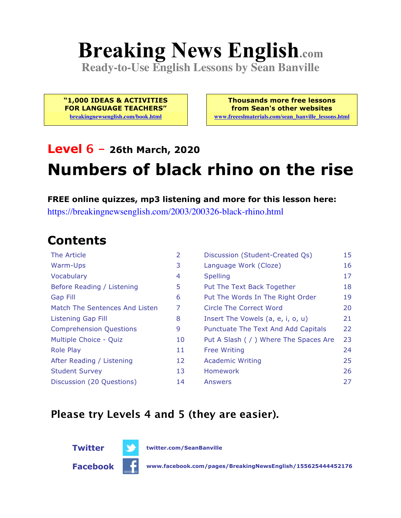# **Breaking News English.com**

**Ready-to-Use English Lessons by Sean Banville**

**"1,000 IDEAS & ACTIVITIES FOR LANGUAGE TEACHERS" breakingnewsenglish.com/book.html**

**Thousands more free lessons from Sean's other websites www.freeeslmaterials.com/sean\_banville\_lessons.html**

## **Level 6 - 26th March, 2020 Numbers of black rhino on the rise**

#### **FREE online quizzes, mp3 listening and more for this lesson here:**

https://breakingnewsenglish.com/2003/200326-black-rhino.html

#### **Contents**

| The Article                    | $\overline{2}$ | Discussion (Student-Created Qs)        | 15 |
|--------------------------------|----------------|----------------------------------------|----|
| Warm-Ups                       | 3              | Language Work (Cloze)                  | 16 |
| Vocabulary                     | 4              | <b>Spelling</b>                        | 17 |
| Before Reading / Listening     | 5              | Put The Text Back Together             | 18 |
| <b>Gap Fill</b>                | 6              | Put The Words In The Right Order       | 19 |
| Match The Sentences And Listen | 7              | Circle The Correct Word                | 20 |
| <b>Listening Gap Fill</b>      | 8              | Insert The Vowels (a, e, i, o, u)      | 21 |
| <b>Comprehension Questions</b> | 9              | Punctuate The Text And Add Capitals    | 22 |
| Multiple Choice - Quiz         | 10             | Put A Slash ( / ) Where The Spaces Are | 23 |
| <b>Role Play</b>               | 11             | <b>Free Writing</b>                    | 24 |
| After Reading / Listening      | 12             | <b>Academic Writing</b>                | 25 |
| <b>Student Survey</b>          | 13             | <b>Homework</b>                        | 26 |
| Discussion (20 Questions)      | 14             | Answers                                | 27 |

#### **Please try Levels 4 and 5 (they are easier).**



**Twitter twitter.com/SeanBanville**

**Facebook www.facebook.com/pages/BreakingNewsEnglish/155625444452176**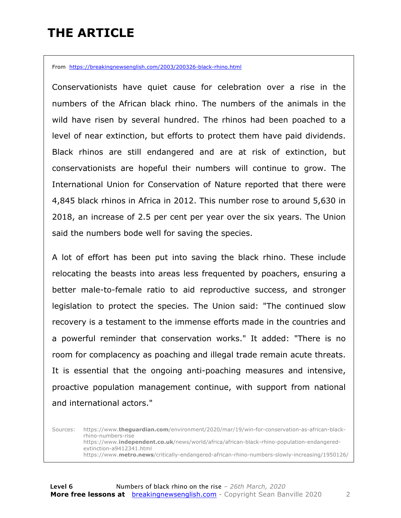### **THE ARTICLE**

From https://breakingnewsenglish.com/2003/200326-black-rhino.html

Conservationists have quiet cause for celebration over a rise in the numbers of the African black rhino. The numbers of the animals in the wild have risen by several hundred. The rhinos had been poached to a level of near extinction, but efforts to protect them have paid dividends. Black rhinos are still endangered and are at risk of extinction, but conservationists are hopeful their numbers will continue to grow. The International Union for Conservation of Nature reported that there were 4,845 black rhinos in Africa in 2012. This number rose to around 5,630 in 2018, an increase of 2.5 per cent per year over the six years. The Union said the numbers bode well for saving the species.

A lot of effort has been put into saving the black rhino. These include relocating the beasts into areas less frequented by poachers, ensuring a better male-to-female ratio to aid reproductive success, and stronger legislation to protect the species. The Union said: "The continued slow recovery is a testament to the immense efforts made in the countries and a powerful reminder that conservation works." It added: "There is no room for complacency as poaching and illegal trade remain acute threats. It is essential that the ongoing anti-poaching measures and intensive, proactive population management continue, with support from national and international actors."

Sources: https://www.**theguardian.com**/environment/2020/mar/19/win-for-conservation-as-african-blackrhino-numbers-rise https://www.**independent.co.uk**/news/world/africa/african-black-rhino-population-endangeredextinction-a9412341.html https://www.**metro.news**/critically-endangered-african-rhino-numbers-slowly-increasing/1950126/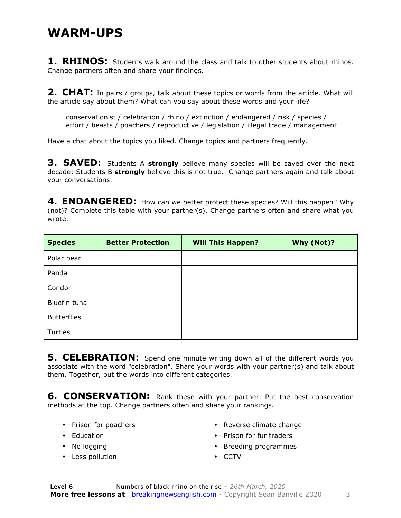#### **WARM-UPS**

**1. RHINOS:** Students walk around the class and talk to other students about rhinos. Change partners often and share your findings.

**2. CHAT:** In pairs / groups, talk about these topics or words from the article. What will the article say about them? What can you say about these words and your life?

conservationist / celebration / rhino / extinction / endangered / risk / species / effort / beasts / poachers / reproductive / legislation / illegal trade / management

Have a chat about the topics you liked. Change topics and partners frequently.

**3. SAVED:** Students A strongly believe many species will be saved over the next decade; Students B **strongly** believe this is not true. Change partners again and talk about your conversations.

**4. ENDANGERED:** How can we better protect these species? Will this happen? Why (not)? Complete this table with your partner(s). Change partners often and share what you wrote.

| <b>Species</b>     | <b>Better Protection</b> | <b>Will This Happen?</b> | Why (Not)? |
|--------------------|--------------------------|--------------------------|------------|
| Polar bear         |                          |                          |            |
| Panda              |                          |                          |            |
| Condor             |                          |                          |            |
| Bluefin tuna       |                          |                          |            |
| <b>Butterflies</b> |                          |                          |            |
| Turtles            |                          |                          |            |

**5. CELEBRATION:** Spend one minute writing down all of the different words you associate with the word "celebration". Share your words with your partner(s) and talk about them. Together, put the words into different categories.

**6. CONSERVATION:** Rank these with your partner. Put the best conservation methods at the top. Change partners often and share your rankings.

- Prison for poachers
- Education
- No logging
- Less pollution
- Reverse climate change
- Prison for fur traders
- Breeding programmes
- CCTV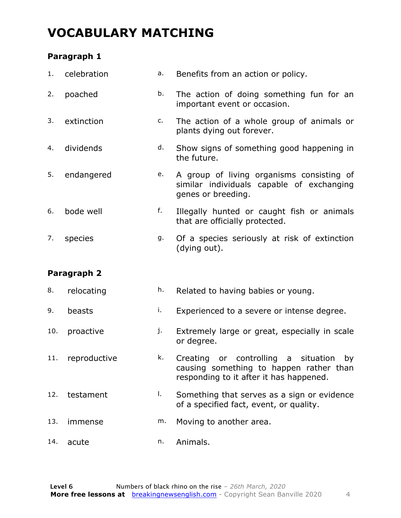### **VOCABULARY MATCHING**

#### **Paragraph 1**

| 1.  | celebration  | a. | Benefits from an action or policy.                                                                                                       |
|-----|--------------|----|------------------------------------------------------------------------------------------------------------------------------------------|
| 2.  | poached      | b. | The action of doing something fun for an<br>important event or occasion.                                                                 |
| 3.  | extinction   | c. | The action of a whole group of animals or<br>plants dying out forever.                                                                   |
| 4.  | dividends    | d. | Show signs of something good happening in<br>the future.                                                                                 |
| 5.  | endangered   | e. | A group of living organisms consisting of<br>similar individuals capable of exchanging<br>genes or breeding.                             |
| 6.  | bode well    | f. | Illegally hunted or caught fish or animals<br>that are officially protected.                                                             |
| 7.  | species      | g. | Of a species seriously at risk of extinction<br>(dying out).                                                                             |
|     |              |    |                                                                                                                                          |
|     | Paragraph 2  |    |                                                                                                                                          |
| 8.  | relocating   | h. | Related to having babies or young.                                                                                                       |
| 9.  | beasts       | i. | Experienced to a severe or intense degree.                                                                                               |
| 10. | proactive    | j. | Extremely large or great, especially in scale<br>or degree.                                                                              |
| 11. | reproductive | k. | Creating<br>or controlling<br>situation<br>by<br>a<br>causing something to happen rather than<br>responding to it after it has happened. |
| 12. | testament    | I. | Something that serves as a sign or evidence<br>of a specified fact, event, or quality.                                                   |
| 13. | immense      | m. | Moving to another area.                                                                                                                  |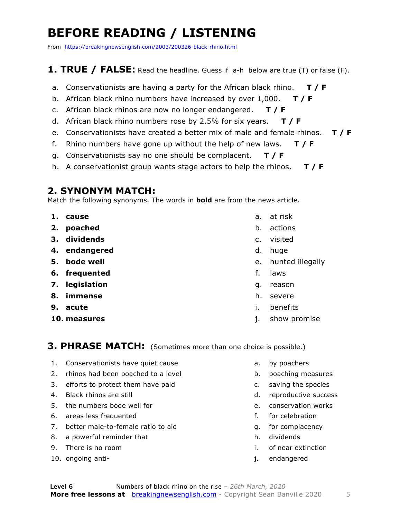### **BEFORE READING / LISTENING**

From https://breakingnewsenglish.com/2003/200326-black-rhino.html

#### **1. TRUE / FALSE:** Read the headline. Guess if a-h below are true (T) or false (F).

- a. Conservationists are having a party for the African black rhino. **T / F**
- b. African black rhino numbers have increased by over 1,000. **T / F**
- c. African black rhinos are now no longer endangered. **T / F**
- d. African black rhino numbers rose by 2.5% for six years. **T / F**
- e. Conservationists have created a better mix of male and female rhinos. **T / F**
- f. Rhino numbers have gone up without the help of new laws. **T / F**
- g. Conservationists say no one should be complacent. **T / F**
- h. A conservationist group wants stage actors to help the rhinos. **T / F**

#### **2. SYNONYM MATCH:**

Match the following synonyms. The words in **bold** are from the news article.

- **1. cause**
- **2. poached**
- **3. dividends**
- **4. endangered**
- **5. bode well**
- **6. frequented**
- **7. legislation**
- **8. immense**
- **9. acute**
- **10. measures**
- a. at risk
- b. actions
- c. visited
- d. huge
- e. hunted illegally
- f. laws
- g. reason
- h. severe
- i. benefits
- j. show promise

#### **3. PHRASE MATCH:** (Sometimes more than one choice is possible.)

- 1. Conservationists have quiet cause
- 2. rhinos had been poached to a level
- 3. efforts to protect them have paid
- 4. Black rhinos are still
- 5. the numbers bode well for
- 6. areas less frequented
- 7. better male-to-female ratio to aid
- 8. a powerful reminder that
- 9. There is no room
- 10. ongoing anti-
- a. by poachers
- b. poaching measures
- c. saving the species
- d. reproductive success
- e. conservation works
- f. for celebration
- g. for complacency
- h. dividends
- i. of near extinction
- j. endangered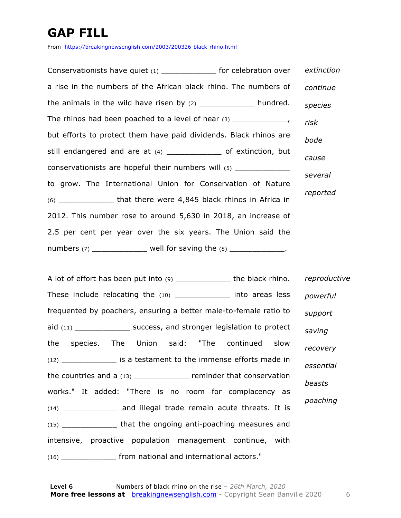### **GAP FILL**

From https://breakingnewsenglish.com/2003/200326-black-rhino.html

Conservationists have quiet (1) \_\_\_\_\_\_\_\_\_\_\_\_ for celebration over a rise in the numbers of the African black rhino. The numbers of the animals in the wild have risen by  $(2)$  \_\_\_\_\_\_\_\_\_\_\_\_\_\_\_\_\_\_ hundred. The rhinos had been poached to a level of near  $(3)$  \_\_\_\_\_\_\_\_\_\_\_\_\_, but efforts to protect them have paid dividends. Black rhinos are still endangered and are at (4) \_\_\_\_\_\_\_\_\_\_\_\_\_\_\_ of extinction, but conservationists are hopeful their numbers will (5) \_\_\_\_\_\_\_\_\_\_\_\_\_ to grow. The International Union for Conservation of Nature (6) \_\_\_\_\_\_\_\_\_\_\_\_ that there were 4,845 black rhinos in Africa in 2012. This number rose to around 5,630 in 2018, an increase of 2.5 per cent per year over the six years. The Union said the numbers  $(7)$  well for saving the  $(8)$  \_\_\_\_\_\_\_\_\_\_\_\_. *extinction continue species risk bode cause several reported*

A lot of effort has been put into (9) \_\_\_\_\_\_\_\_\_\_\_\_\_\_\_ the black rhino. These include relocating the (10) \_\_\_\_\_\_\_\_\_\_\_\_\_\_ into areas less frequented by poachers, ensuring a better male-to-female ratio to aid (11) \_\_\_\_\_\_\_\_\_\_\_\_\_\_\_ success, and stronger legislation to protect the species. The Union said: "The continued slow (12) \_\_\_\_\_\_\_\_\_\_\_\_ is a testament to the immense efforts made in the countries and a (13) **Exercise 2** reminder that conservation works." It added: "There is no room for complacency as (14) \_\_\_\_\_\_\_\_\_\_\_\_ and illegal trade remain acute threats. It is (15) \_\_\_\_\_\_\_\_\_\_\_\_ that the ongoing anti-poaching measures and intensive, proactive population management continue, with (16) \_\_\_\_\_\_\_\_\_\_\_\_ from national and international actors." *reproductive powerful support saving recovery essential beasts poaching*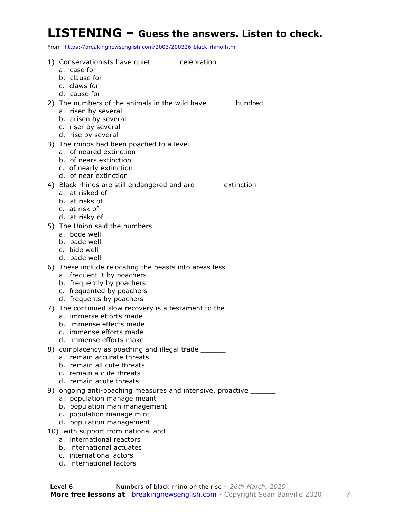#### **LISTENING – Guess the answers. Listen to check.**

From https://breakingnewsenglish.com/2003/200326-black-rhino.html

|    | 1) Conservationists have quiet _______ celebration                                                                                                        |
|----|-----------------------------------------------------------------------------------------------------------------------------------------------------------|
|    | a. case for<br>b. clause for                                                                                                                              |
|    | c. claws for                                                                                                                                              |
|    | d. cause for                                                                                                                                              |
|    | 2) The numbers of the animals in the wild have ______ hundred                                                                                             |
|    | a. risen by several                                                                                                                                       |
|    | b. arisen by several                                                                                                                                      |
|    | c. riser by several                                                                                                                                       |
|    | d. rise by several                                                                                                                                        |
|    | 3) The rhinos had been poached to a level                                                                                                                 |
|    | a. of neared extinction<br>b. of nears extinction                                                                                                         |
|    | c. of nearly extinction                                                                                                                                   |
|    | d. of near extinction                                                                                                                                     |
|    | 4) Black rhinos are still endangered and are _____ extinction                                                                                             |
|    | a. at risked of                                                                                                                                           |
|    | b. at risks of                                                                                                                                            |
|    | c. at risk of                                                                                                                                             |
|    | d. at risky of                                                                                                                                            |
|    | 5) The Union said the numbers<br>a. bode well                                                                                                             |
|    | b. bade well                                                                                                                                              |
|    | c. bide well                                                                                                                                              |
|    | d. bade well                                                                                                                                              |
|    | 6) These include relocating the beasts into areas less _______                                                                                            |
|    | a. frequent it by poachers                                                                                                                                |
|    | b. frequently by poachers                                                                                                                                 |
|    | c. frequented by poachers<br>d. frequents by poachers                                                                                                     |
|    | 7) The continued slow recovery is a testament to the _______                                                                                              |
|    | a. immerse efforts made                                                                                                                                   |
|    | b. immense effects made                                                                                                                                   |
|    | c. immense efforts made                                                                                                                                   |
|    | d. immense efforts make                                                                                                                                   |
|    | 8) complacency as poaching and illegal trade ______                                                                                                       |
|    | a. remain accurate threats<br>b. remain all cute threats                                                                                                  |
|    | c. remain a cute threats                                                                                                                                  |
|    | d. remain acute threats                                                                                                                                   |
| 9) | ongoing anti-poaching measures and intensive, proactive ______                                                                                            |
|    | population manage meant<br>a.                                                                                                                             |
|    | population man management<br>b.                                                                                                                           |
|    | c.                                                                                                                                                        |
|    |                                                                                                                                                           |
|    |                                                                                                                                                           |
|    |                                                                                                                                                           |
|    | population manage mint<br>d. population management<br>10) with support from national and ______<br>a. international reactors<br>b. international actuates |

- c. international actors
- d. international factors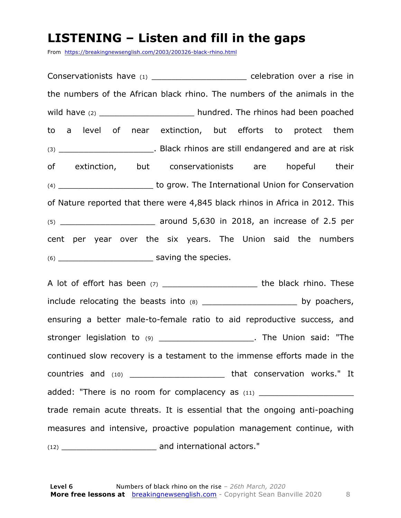#### **LISTENING – Listen and fill in the gaps**

From https://breakingnewsenglish.com/2003/200326-black-rhino.html

Conservationists have (1) celebration over a rise in the numbers of the African black rhino. The numbers of the animals in the wild have (2) wild have (2)  $\blacksquare$  hundred. The rhinos had been poached to a level of near extinction, but efforts to protect them (3) **Example 2 C**  $\blacksquare$  Black rhinos are still endangered and are at risk of extinction, but conservationists are hopeful their (4) \_\_\_\_\_\_\_\_\_\_\_\_\_\_\_\_\_\_\_ to grow. The International Union for Conservation of Nature reported that there were 4,845 black rhinos in Africa in 2012. This  $(5)$  around 5,630 in 2018, an increase of 2.5 per cent per year over the six years. The Union said the numbers (6) \_\_\_\_\_\_\_\_\_\_\_\_\_\_\_\_\_\_\_ saving the species.

A lot of effort has been (7) \_\_\_\_\_\_\_\_\_\_\_\_\_\_\_\_\_\_\_\_\_\_\_\_\_ the black rhino. These include relocating the beasts into (8) \_\_\_\_\_\_\_\_\_\_\_\_\_\_\_\_\_\_\_\_\_\_\_\_ by poachers, ensuring a better male-to-female ratio to aid reproductive success, and stronger legislation to (9) \_\_\_\_\_\_\_\_\_\_\_\_\_\_\_\_\_\_\_\_\_\_\_. The Union said: "The continued slow recovery is a testament to the immense efforts made in the countries and (10) \_\_\_\_\_\_\_\_\_\_\_\_\_\_\_\_\_\_\_ that conservation works." It added: "There is no room for complacency as  $(11)$ trade remain acute threats. It is essential that the ongoing anti-poaching measures and intensive, proactive population management continue, with (12) \_\_\_\_\_\_\_\_\_\_\_\_\_\_\_\_\_\_\_ and international actors."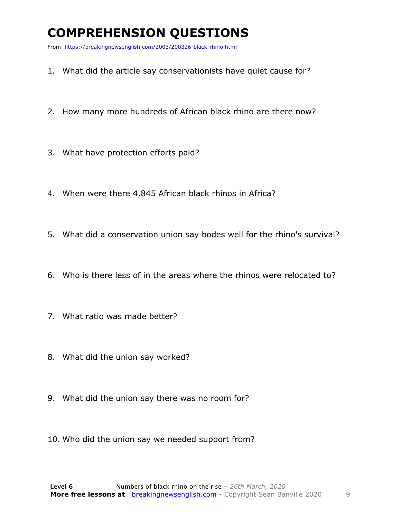### **COMPREHENSION QUESTIONS**

From https://breakingnewsenglish.com/2003/200326-black-rhino.html

- 1. What did the article say conservationists have quiet cause for?
- 2. How many more hundreds of African black rhino are there now?
- 3. What have protection efforts paid?
- 4. When were there 4,845 African black rhinos in Africa?
- 5. What did a conservation union say bodes well for the rhino's survival?
- 6. Who is there less of in the areas where the rhinos were relocated to?
- 7. What ratio was made better?
- 8. What did the union say worked?
- 9. What did the union say there was no room for?
- 10. Who did the union say we needed support from?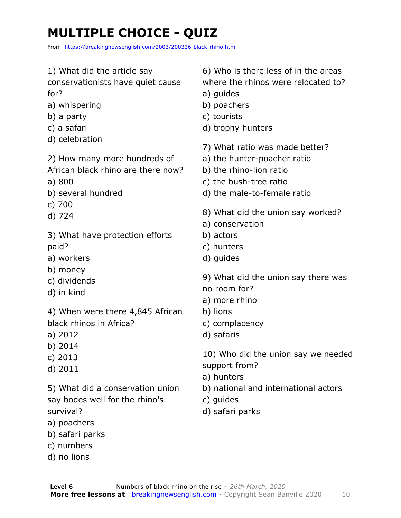### **MULTIPLE CHOICE - QUIZ**

From https://breakingnewsenglish.com/2003/200326-black-rhino.html

1) What did the article say conservationists have quiet cause for? a) whispering b) a party c) a safari d) celebration 2) How many more hundreds of African black rhino are there now? a) 800 b) several hundred c) 700 d) 724 3) What have protection efforts paid? a) workers b) money c) dividends d) in kind 4) When were there 4,845 African black rhinos in Africa? a) 2012 b) 2014 c) 2013 d) 2011 5) What did a conservation union say bodes well for the rhino's survival? a) poachers b) safari parks 6) Who is there less of in the areas where the rhinos were relocated to? a) guides b) poachers c) tourists d) trophy hunters 7) What ratio was made better? a) the hunter-poacher ratio b) the rhino-lion ratio c) the bush-tree ratio d) the male-to-female ratio 8) What did the union say worked? a) conservation b) actors c) hunters d) guides 9) What did the union say there was no room for? a) more rhino b) lions c) complacency d) safaris 10) Who did the union say we needed support from? a) hunters b) national and international actors c) guides d) safari parks

- c) numbers
- d) no lions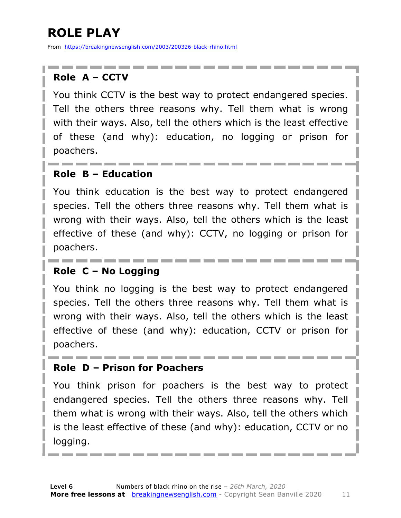### **ROLE PLAY**

From https://breakingnewsenglish.com/2003/200326-black-rhino.html

#### **Role A – CCTV**

You think CCTV is the best way to protect endangered species. Tell the others three reasons why. Tell them what is wrong with their ways. Also, tell the others which is the least effective of these (and why): education, no logging or prison for poachers.

#### **Role B – Education**

You think education is the best way to protect endangered species. Tell the others three reasons why. Tell them what is wrong with their ways. Also, tell the others which is the least effective of these (and why): CCTV, no logging or prison for poachers.

#### **Role C – No Logging**

You think no logging is the best way to protect endangered species. Tell the others three reasons why. Tell them what is wrong with their ways. Also, tell the others which is the least effective of these (and why): education, CCTV or prison for poachers.

#### **Role D – Prison for Poachers**

You think prison for poachers is the best way to protect endangered species. Tell the others three reasons why. Tell them what is wrong with their ways. Also, tell the others which is the least effective of these (and why): education, CCTV or no logging.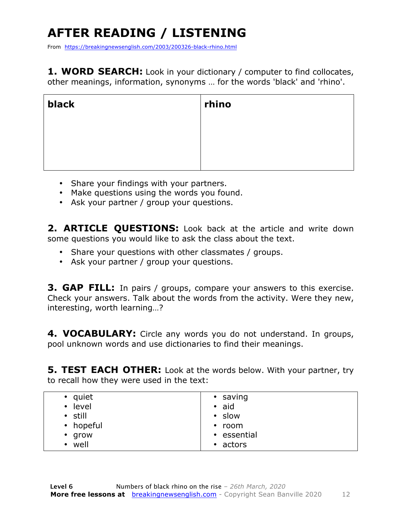### **AFTER READING / LISTENING**

From https://breakingnewsenglish.com/2003/200326-black-rhino.html

**1. WORD SEARCH:** Look in your dictionary / computer to find collocates, other meanings, information, synonyms … for the words 'black' and 'rhino'.

| black | rhino |
|-------|-------|
|       |       |
|       |       |
|       |       |

- Share your findings with your partners.
- Make questions using the words you found.
- Ask your partner / group your questions.

2. **ARTICLE OUESTIONS:** Look back at the article and write down some questions you would like to ask the class about the text.

- Share your questions with other classmates / groups.
- Ask your partner / group your questions.

**3. GAP FILL:** In pairs / groups, compare your answers to this exercise. Check your answers. Talk about the words from the activity. Were they new, interesting, worth learning…?

**4. VOCABULARY:** Circle any words you do not understand. In groups, pool unknown words and use dictionaries to find their meanings.

**5. TEST EACH OTHER:** Look at the words below. With your partner, try to recall how they were used in the text:

| • quiet<br>level<br>$\bullet$<br>• still<br>• hopeful<br>$\cdot$ grow<br>well<br>$\bullet$ | • saving<br>$\bullet$ aid<br>• slow<br>$\cdot$ room<br>• essential<br>• actors |
|--------------------------------------------------------------------------------------------|--------------------------------------------------------------------------------|
|--------------------------------------------------------------------------------------------|--------------------------------------------------------------------------------|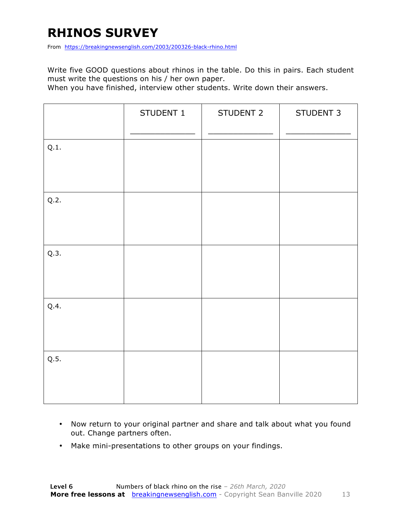### **RHINOS SURVEY**

From https://breakingnewsenglish.com/2003/200326-black-rhino.html

Write five GOOD questions about rhinos in the table. Do this in pairs. Each student must write the questions on his / her own paper.

When you have finished, interview other students. Write down their answers.

|      | STUDENT 1 | STUDENT 2 | STUDENT 3 |
|------|-----------|-----------|-----------|
| Q.1. |           |           |           |
| Q.2. |           |           |           |
| Q.3. |           |           |           |
| Q.4. |           |           |           |
| Q.5. |           |           |           |

- Now return to your original partner and share and talk about what you found out. Change partners often.
- Make mini-presentations to other groups on your findings.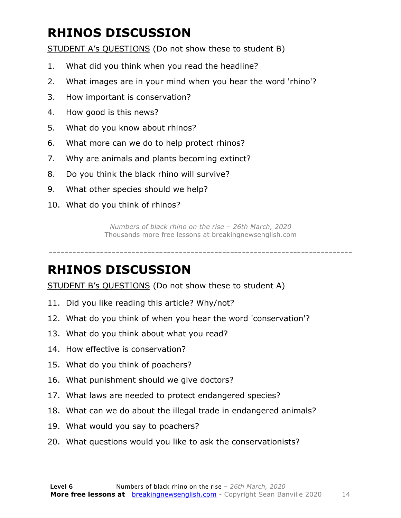### **RHINOS DISCUSSION**

STUDENT A's QUESTIONS (Do not show these to student B)

- 1. What did you think when you read the headline?
- 2. What images are in your mind when you hear the word 'rhino'?
- 3. How important is conservation?
- 4. How good is this news?
- 5. What do you know about rhinos?
- 6. What more can we do to help protect rhinos?
- 7. Why are animals and plants becoming extinct?
- 8. Do you think the black rhino will survive?
- 9. What other species should we help?
- 10. What do you think of rhinos?

*Numbers of black rhino on the rise – 26th March, 2020* Thousands more free lessons at breakingnewsenglish.com

-----------------------------------------------------------------------------

#### **RHINOS DISCUSSION**

STUDENT B's QUESTIONS (Do not show these to student A)

- 11. Did you like reading this article? Why/not?
- 12. What do you think of when you hear the word 'conservation'?
- 13. What do you think about what you read?
- 14. How effective is conservation?
- 15. What do you think of poachers?
- 16. What punishment should we give doctors?
- 17. What laws are needed to protect endangered species?
- 18. What can we do about the illegal trade in endangered animals?
- 19. What would you say to poachers?
- 20. What questions would you like to ask the conservationists?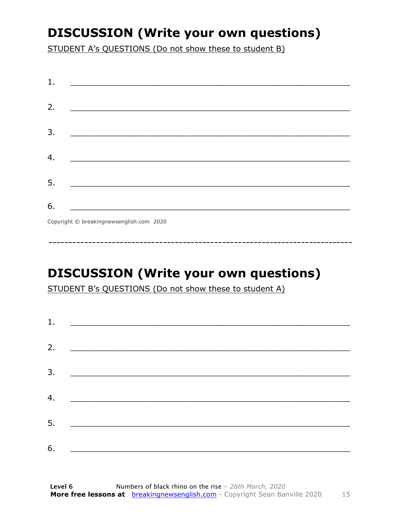### **DISCUSSION (Write your own questions)**

STUDENT A's QUESTIONS (Do not show these to student B)

| 1. |                                                    |
|----|----------------------------------------------------|
|    |                                                    |
| 2. |                                                    |
|    |                                                    |
| 3. |                                                    |
|    | <u> 1980 - John Stein, Amerikaansk politiker (</u> |
|    |                                                    |
| 4. |                                                    |
|    |                                                    |
| 5. |                                                    |
|    |                                                    |
| 6. |                                                    |
|    | Copyright © breakingnewsenglish.com 2020           |

### **DISCUSSION (Write your own questions)**

STUDENT B's QUESTIONS (Do not show these to student A)

| 1. |                                                                                                                         |  |  |
|----|-------------------------------------------------------------------------------------------------------------------------|--|--|
|    |                                                                                                                         |  |  |
| 2. | <u> 1980 - Andrea Stationer, fransk politiker (d. 1980)</u>                                                             |  |  |
| 3. |                                                                                                                         |  |  |
|    |                                                                                                                         |  |  |
| 4. | <u> 1980 - Jan Samuel Barbara, margaret eta idazlea (h. 1980).</u>                                                      |  |  |
| 5. | <u> 1986 - Johann Stoff, deutscher Stoffen und der Stoffen und der Stoffen und der Stoffen und der Stoffen und der </u> |  |  |
|    |                                                                                                                         |  |  |
| 6. | <u> 1989 - Johann John Stone, market fan it ferskearre fan it ferskearre fan it ferskearre fan it ferskearre fan i</u>  |  |  |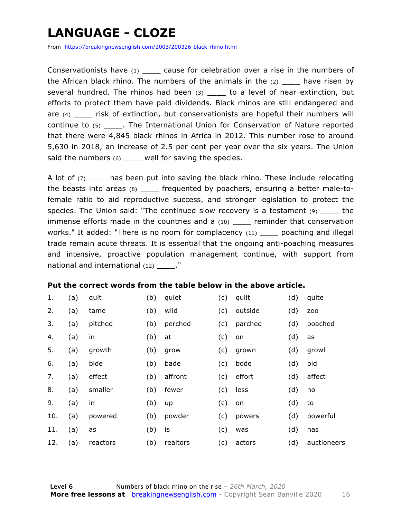### **LANGUAGE - CLOZE**

From https://breakingnewsenglish.com/2003/200326-black-rhino.html

Conservationists have (1) \_\_\_\_\_ cause for celebration over a rise in the numbers of the African black rhino. The numbers of the animals in the  $(2)$  \_\_\_\_ have risen by several hundred. The rhinos had been (3) \_\_\_\_ to a level of near extinction, but efforts to protect them have paid dividends. Black rhinos are still endangered and are (4) \_\_\_\_ risk of extinction, but conservationists are hopeful their numbers will continue to (5) \_\_\_\_. The International Union for Conservation of Nature reported that there were 4,845 black rhinos in Africa in 2012. This number rose to around 5,630 in 2018, an increase of 2.5 per cent per year over the six years. The Union said the numbers  $(6)$  \_\_\_\_ well for saving the species.

A lot of (7) \_\_\_\_ has been put into saving the black rhino. These include relocating the beasts into areas (8) \_\_\_\_ frequented by poachers, ensuring a better male-tofemale ratio to aid reproductive success, and stronger legislation to protect the species. The Union said: "The continued slow recovery is a testament (9) \_\_\_\_ the immense efforts made in the countries and a (10) \_\_\_\_ reminder that conservation works." It added: "There is no room for complacency  $(11)$  poaching and illegal trade remain acute threats. It is essential that the ongoing anti-poaching measures and intensive, proactive population management continue, with support from national and international  $(12)$  ."

#### **Put the correct words from the table below in the above article.**

| 1.  | (a) | quit     | (b) | quiet    | (c) | quilt   | (d) | quite       |
|-----|-----|----------|-----|----------|-----|---------|-----|-------------|
| 2.  | (a) | tame     | (b) | wild     | (c) | outside | (d) | ZOO         |
| 3.  | (a) | pitched  | (b) | perched  | (c) | parched | (d) | poached     |
| 4.  | (a) | in       | (b) | at       | (c) | on      | (d) | as          |
| 5.  | (a) | growth   | (b) | grow     | (c) | grown   | (d) | growl       |
| 6.  | (a) | bide     | (b) | bade     | (c) | bode    | (d) | bid         |
| 7.  | (a) | effect   | (b) | affront  | (c) | effort  | (d) | affect      |
| 8.  | (a) | smaller  | (b) | fewer    | (c) | less    | (d) | no          |
| 9.  | (a) | in       | (b) | up       | (c) | on      | (d) | to          |
| 10. | (a) | powered  | (b) | powder   | (c) | powers  | (d) | powerful    |
| 11. | (a) | as       | (b) | is       | (c) | was     | (d) | has         |
| 12. | (a) | reactors | (b) | realtors | (c) | actors  | (d) | auctioneers |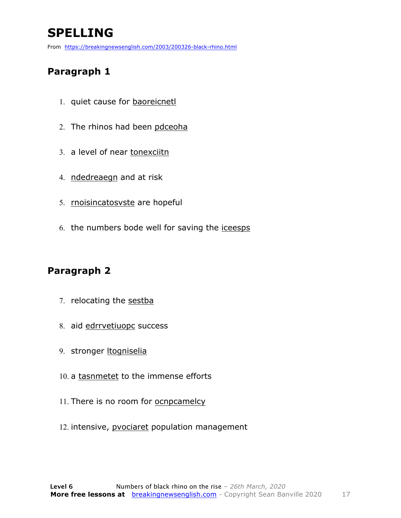### **SPELLING**

From https://breakingnewsenglish.com/2003/200326-black-rhino.html

#### **Paragraph 1**

- 1. quiet cause for **baoreicnet**
- 2. The rhinos had been pdceoha
- 3. a level of near tonexciitn
- 4. ndedreaegn and at risk
- 5. rnoisincatosvste are hopeful
- 6. the numbers bode well for saving the iceesps

#### **Paragraph 2**

- 7. relocating the sestba
- 8. aid edrrvetiuopc success
- 9. stronger ltogniselia
- 10. a tasnmetet to the immense efforts
- 11. There is no room for ocnpcamelcy
- 12. intensive, pvociaret population management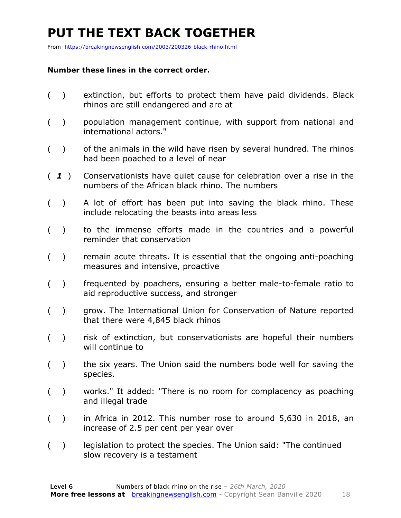### **PUT THE TEXT BACK TOGETHER**

From https://breakingnewsenglish.com/2003/200326-black-rhino.html

#### **Number these lines in the correct order.**

- ( ) extinction, but efforts to protect them have paid dividends. Black rhinos are still endangered and are at
- ( ) population management continue, with support from national and international actors."
- ( ) of the animals in the wild have risen by several hundred. The rhinos had been poached to a level of near
- ( *1* ) Conservationists have quiet cause for celebration over a rise in the numbers of the African black rhino. The numbers
- ( ) A lot of effort has been put into saving the black rhino. These include relocating the beasts into areas less
- ( ) to the immense efforts made in the countries and a powerful reminder that conservation
- ( ) remain acute threats. It is essential that the ongoing anti-poaching measures and intensive, proactive
- ( ) frequented by poachers, ensuring a better male-to-female ratio to aid reproductive success, and stronger
- ( ) grow. The International Union for Conservation of Nature reported that there were 4,845 black rhinos
- ( ) risk of extinction, but conservationists are hopeful their numbers will continue to
- ( ) the six years. The Union said the numbers bode well for saving the species.
- ( ) works." It added: "There is no room for complacency as poaching and illegal trade
- ( ) in Africa in 2012. This number rose to around 5,630 in 2018, an increase of 2.5 per cent per year over
- () legislation to protect the species. The Union said: "The continued slow recovery is a testament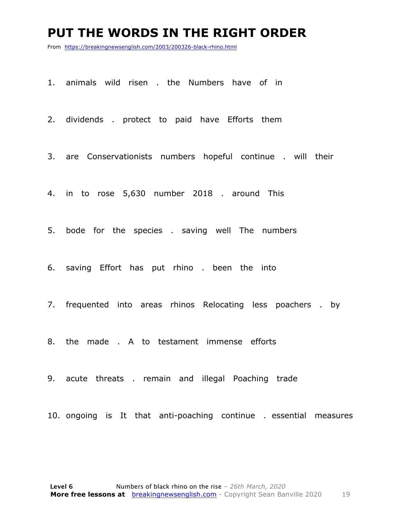#### **PUT THE WORDS IN THE RIGHT ORDER**

From https://breakingnewsenglish.com/2003/200326-black-rhino.html

1. animals wild risen . the Numbers have of in

2. dividends . protect to paid have Efforts them

3. are Conservationists numbers hopeful continue . will their

4. in to rose 5,630 number 2018 . around This

5. bode for the species . saving well The numbers

6. saving Effort has put rhino . been the into

7. frequented into areas rhinos Relocating less poachers . by

8. the made . A to testament immense efforts

9. acute threats . remain and illegal Poaching trade

10. ongoing is It that anti-poaching continue . essential measures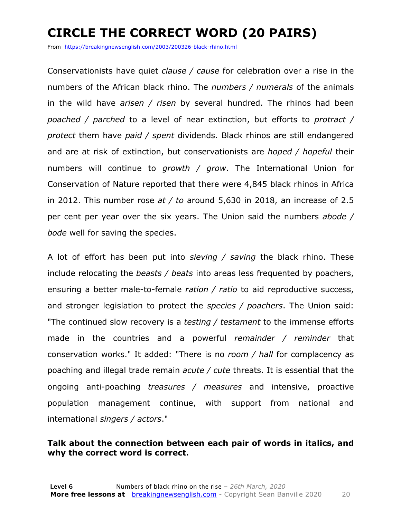### **CIRCLE THE CORRECT WORD (20 PAIRS)**

From https://breakingnewsenglish.com/2003/200326-black-rhino.html

Conservationists have quiet *clause / cause* for celebration over a rise in the numbers of the African black rhino. The *numbers / numerals* of the animals in the wild have *arisen / risen* by several hundred. The rhinos had been *poached / parched* to a level of near extinction, but efforts to *protract / protect* them have *paid / spent* dividends. Black rhinos are still endangered and are at risk of extinction, but conservationists are *hoped / hopeful* their numbers will continue to *growth / grow*. The International Union for Conservation of Nature reported that there were 4,845 black rhinos in Africa in 2012. This number rose *at / to* around 5,630 in 2018, an increase of 2.5 per cent per year over the six years. The Union said the numbers *abode / bode* well for saving the species.

A lot of effort has been put into *sieving / saving* the black rhino. These include relocating the *beasts / beats* into areas less frequented by poachers, ensuring a better male-to-female *ration / ratio* to aid reproductive success, and stronger legislation to protect the *species / poachers*. The Union said: "The continued slow recovery is a *testing / testament* to the immense efforts made in the countries and a powerful *remainder / reminder* that conservation works." It added: "There is no *room / hall* for complacency as poaching and illegal trade remain *acute / cute* threats. It is essential that the ongoing anti-poaching *treasures / measures* and intensive, proactive population management continue, with support from national and international *singers / actors*."

#### **Talk about the connection between each pair of words in italics, and why the correct word is correct.**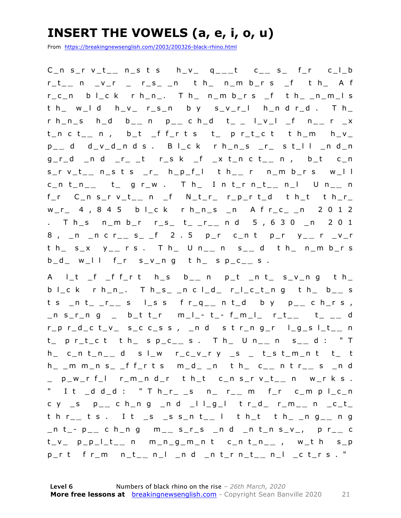### **INSERT THE VOWELS (a, e, i, o, u)**

From https://breakingnewsenglish.com/2003/200326-black-rhino.html

C\_n s\_r v\_t\_ **\_** n\_s t s h\_v\_ q \_ **\_ \_** t c\_ **\_** s\_ f\_r c\_l\_b r\_t\_ **\_** n \_v\_r \_ r\_s\_ \_n t h\_ n\_m b\_r s \_f t h\_ A f r\_c\_n b l\_c k r h\_n\_. T h\_ n\_m b\_r s \_f t h\_ \_n\_m\_l s t h\_ w\_l d h\_v\_ r\_s\_n b y s\_v\_r\_l h\_n d r\_d . T h\_ r h\_n\_s h\_d b\_ **\_** n p\_ **\_** c h\_d t \_ \_ l\_v\_l \_f n\_ **\_** r \_x t\_n c t\_ **\_** n , b\_t \_f f\_r t s t\_ p r\_t\_c t t h\_m h\_v\_ p \_ **\_** d d\_v\_d\_n d s . B l\_c k r h\_n\_s \_r\_ s t\_l l \_n d\_n g\_r\_d \_n d \_r\_ \_t r\_s k \_f \_x t\_n c t\_ **\_** n , b\_t c\_n s\_r v\_t\_ **\_** n\_s t s \_r\_ h\_p\_f\_l t h\_ **\_** r n\_m b\_r s w\_l l c\_n t\_n\_ **\_** t\_ g r\_w . T h\_ I n t\_r n\_t\_ **\_** n\_l U n\_ **\_** n f\_r C\_n s\_r v\_t\_ **\_** n \_f N\_t\_r\_ r\_p\_r t\_d t h\_t t h\_r\_ w\_r\_ 4 , 8 4 5 b l\_c k r h\_n\_s \_n A f r\_c\_ \_n 2 0 1 2 . T h\_s n\_m b\_r r\_s\_ t\_ \_r\_ **\_** n d 5 , 6 3 0 \_n 2 0 1 8 , \_n \_n c r\_ **\_** s\_ \_f 2 . 5 p\_r c\_n t p\_r y\_ **\_** r \_v\_r t h\_ s\_x y\_ **\_** r s . T h\_ U n\_ **\_** n s\_ **\_** d t h\_ n\_m b\_r s  $b_d$  w<sub>\_</sub>l l f\_r s\_v\_n g t h\_ s p\_c\_\_ s.

A l\_t \_f \_f f\_r t h\_s b\_ **\_** n p\_t \_n t\_ s\_v\_n g t h\_ b l\_c k r h\_n\_. T h\_s\_ \_n c l\_d\_ r\_l\_c\_t\_n g t h\_ b\_ **\_** s t s \_n t\_ \_r\_ **\_** s l\_s s f r\_q\_ **\_** n t\_d b y p\_ **\_** c h\_r s , \_n s\_r\_n g \_ b\_t t\_r m\_l\_ - t \_ - f\_m\_l\_ r\_t\_ **\_** t\_ \_ **\_** d r\_p r\_d\_c t\_v\_ s\_c c\_s s , \_n d s t r\_n g\_r l\_g\_s l\_t\_ **\_** n t\_ p r\_t\_c t t h\_ s p\_c\_ **\_** s . T h\_ U n\_ **\_** n s\_ **\_** d : " T h\_ c\_n t\_n\_ **\_** d s l\_w r\_c\_v\_r y \_s \_ t\_s t\_m\_n t t\_ t h\_ \_m m\_n s\_ \_f f\_r t s m\_d\_ \_n t h\_ c\_ **\_** n t r\_ **\_** s \_n d \_ p\_w\_r f\_l r\_m\_n d\_r t h\_t c\_n s\_r v\_t\_ **\_** n w\_r k s . " I t \_d d\_d : " T h\_r\_ \_s n\_ r\_ **\_** m f\_r c\_m p l\_c\_n c y \_s p\_ **\_** c h\_n g \_n d \_l l\_g\_l t r\_d\_ r\_m\_ **\_** n \_c\_t\_ t h r\_ **\_** t s . I t \_s \_s s\_n t\_ **\_** l t h\_t t h\_ \_n g\_ **\_** n g \_n t\_ - p \_ **\_** c h\_n g m\_ **\_** s\_r\_s \_n d \_n t\_n s\_ v\_, p r\_ **\_** c t\_v\_ p\_p\_l\_t\_ **\_** n m\_n\_g\_m\_n t c\_n t\_n\_ **\_** , w\_t h s\_p p\_r t f r\_m n\_t\_ **\_** n\_l \_n d \_n t\_r n\_t\_ **\_** n\_l \_c t\_r s . "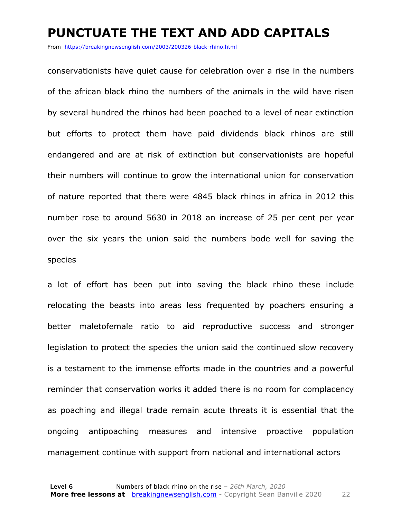#### **PUNCTUATE THE TEXT AND ADD CAPITALS**

From https://breakingnewsenglish.com/2003/200326-black-rhino.html

conservationists have quiet cause for celebration over a rise in the numbers of the african black rhino the numbers of the animals in the wild have risen by several hundred the rhinos had been poached to a level of near extinction but efforts to protect them have paid dividends black rhinos are still endangered and are at risk of extinction but conservationists are hopeful their numbers will continue to grow the international union for conservation of nature reported that there were 4845 black rhinos in africa in 2012 this number rose to around 5630 in 2018 an increase of 25 per cent per year over the six years the union said the numbers bode well for saving the species

a lot of effort has been put into saving the black rhino these include relocating the beasts into areas less frequented by poachers ensuring a better maletofemale ratio to aid reproductive success and stronger legislation to protect the species the union said the continued slow recovery is a testament to the immense efforts made in the countries and a powerful reminder that conservation works it added there is no room for complacency as poaching and illegal trade remain acute threats it is essential that the ongoing antipoaching measures and intensive proactive population management continue with support from national and international actors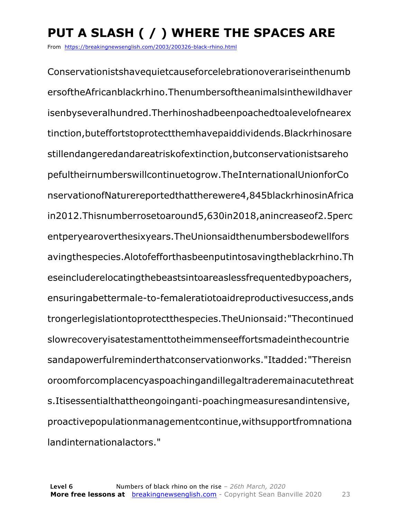### **PUT A SLASH ( / ) WHERE THE SPACES ARE**

From https://breakingnewsenglish.com/2003/200326-black-rhino.html

Conservationistshavequietcauseforcelebrationoverariseinthenumb ersoftheAfricanblackrhino.Thenumbersoftheanimalsinthewildhaver isenbyseveralhundred.Therhinoshadbeenpoachedtoalevelofnearex tinction,buteffortstoprotectthemhavepaiddividends.Blackrhinosare stillendangeredandareatriskofextinction,butconservationistsareho pefultheirnumberswillcontinuetogrow.TheInternationalUnionforCo nservationofNaturereportedthattherewere4,845blackrhinosinAfrica in2012.Thisnumberrosetoaround5,630in2018,anincreaseof2.5perc entperyearoverthesixyears.TheUnionsaidthenumbersbodewellfors avingthespecies.Alotofefforthasbeenputintosavingtheblackrhino.Th eseincluderelocatingthebeastsintoareaslessfrequentedbypoachers, ensuringabettermale-to-femaleratiotoaidreproductivesuccess,ands trongerlegislationtoprotectthespecies.TheUnionsaid:"Thecontinued slowrecoveryisatestamenttotheimmenseeffortsmadeinthecountrie sandapowerfulreminderthatconservationworks."Itadded:"Thereisn oroomforcomplacencyaspoachingandillegaltraderemainacutethreat s.Itisessentialthattheongoinganti-poachingmeasuresandintensive, proactivepopulationmanagementcontinue,withsupportfromnationa landinternationalactors."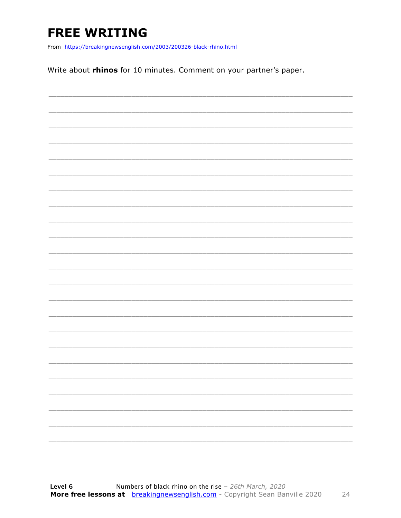### **FREE WRITING**

From https://breakingnewsenglish.com/2003/200326-black-rhino.html

Write about rhinos for 10 minutes. Comment on your partner's paper.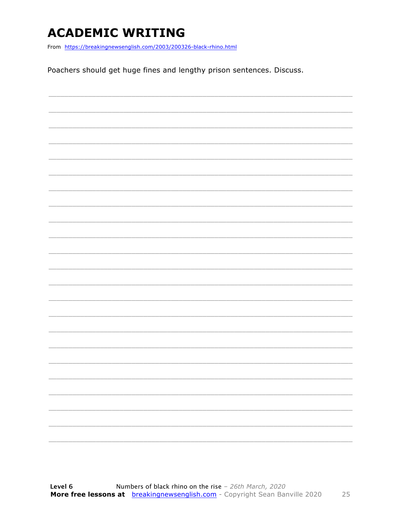### **ACADEMIC WRITING**

From https://breakingnewsenglish.com/2003/200326-black-rhino.html

Poachers should get huge fines and lengthy prison sentences. Discuss.

| ۰ |
|---|
|   |
|   |
|   |
|   |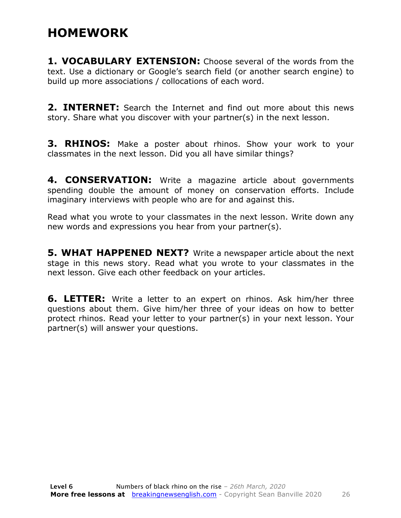#### **HOMEWORK**

**1. VOCABULARY EXTENSION:** Choose several of the words from the text. Use a dictionary or Google's search field (or another search engine) to build up more associations / collocations of each word.

**2. INTERNET:** Search the Internet and find out more about this news story. Share what you discover with your partner(s) in the next lesson.

**3. RHINOS:** Make a poster about rhinos. Show your work to your classmates in the next lesson. Did you all have similar things?

**4. CONSERVATION:** Write a magazine article about governments spending double the amount of money on conservation efforts. Include imaginary interviews with people who are for and against this.

Read what you wrote to your classmates in the next lesson. Write down any new words and expressions you hear from your partner(s).

**5. WHAT HAPPENED NEXT?** Write a newspaper article about the next stage in this news story. Read what you wrote to your classmates in the next lesson. Give each other feedback on your articles.

**6. LETTER:** Write a letter to an expert on rhinos. Ask him/her three questions about them. Give him/her three of your ideas on how to better protect rhinos. Read your letter to your partner(s) in your next lesson. Your partner(s) will answer your questions.